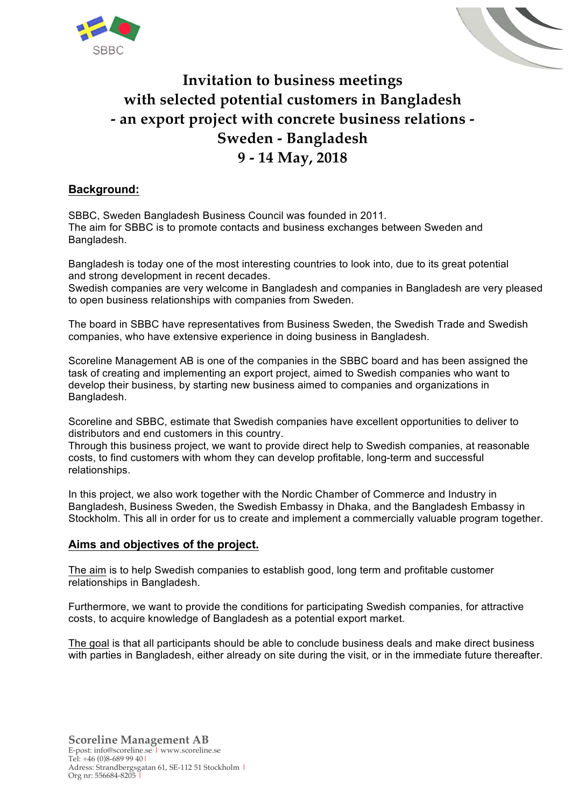



# **Invitation to business meetings with selected potential customers in Bangladesh - an export project with concrete business relations - Sweden - Bangladesh 9 - 14 May, 2018**

# **Background:**

SBBC, Sweden Bangladesh Business Council was founded in 2011. The aim for SBBC is to promote contacts and business exchanges between Sweden and Bangladesh.

Bangladesh is today one of the most interesting countries to look into, due to its great potential and strong development in recent decades.

Swedish companies are very welcome in Bangladesh and companies in Bangladesh are very pleased to open business relationships with companies from Sweden.

The board in SBBC have representatives from Business Sweden, the Swedish Trade and Swedish companies, who have extensive experience in doing business in Bangladesh.

Scoreline Management AB is one of the companies in the SBBC board and has been assigned the task of creating and implementing an export project, aimed to Swedish companies who want to develop their business, by starting new business aimed to companies and organizations in Bangladesh.

Scoreline and SBBC, estimate that Swedish companies have excellent opportunities to deliver to distributors and end customers in this country.

Through this business project, we want to provide direct help to Swedish companies, at reasonable costs, to find customers with whom they can develop profitable, long-term and successful relationships.

In this project, we also work together with the Nordic Chamber of Commerce and Industry in Bangladesh, Business Sweden, the Swedish Embassy in Dhaka, and the Bangladesh Embassy in Stockholm. This all in order for us to create and implement a commercially valuable program together.

### **Aims and objectives of the project.**

The aim is to help Swedish companies to establish good, long term and profitable customer relationships in Bangladesh.

Furthermore, we want to provide the conditions for participating Swedish companies, for attractive costs, to acquire knowledge of Bangladesh as a potential export market.

The goal is that all participants should be able to conclude business deals and make direct business with parties in Bangladesh, either already on site during the visit, or in the immediate future thereafter.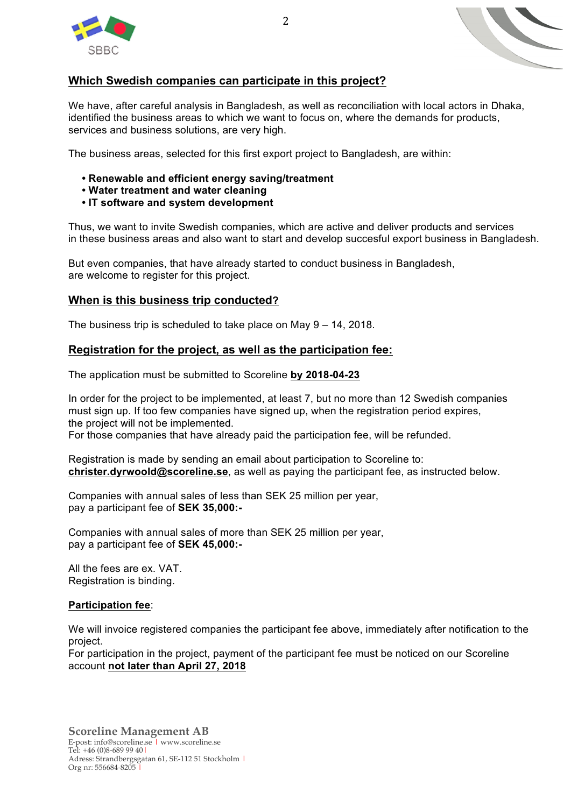



# **Which Swedish companies can participate in this project?**

We have, after careful analysis in Bangladesh, as well as reconciliation with local actors in Dhaka, identified the business areas to which we want to focus on, where the demands for products, services and business solutions, are very high.

The business areas, selected for this first export project to Bangladesh, are within:

- **Renewable and efficient energy saving/treatment**
- **Water treatment and water cleaning**
- **IT software and system development**

Thus, we want to invite Swedish companies, which are active and deliver products and services in these business areas and also want to start and develop succesful export business in Bangladesh.

But even companies, that have already started to conduct business in Bangladesh, are welcome to register for this project.

## **When is this business trip conducted?**

The business trip is scheduled to take place on May 9 – 14, 2018.

## **Registration for the project, as well as the participation fee:**

The application must be submitted to Scoreline **by 2018-04-23**

In order for the project to be implemented, at least 7, but no more than 12 Swedish companies must sign up. If too few companies have signed up, when the registration period expires, the project will not be implemented.

For those companies that have already paid the participation fee, will be refunded.

Registration is made by sending an email about participation to Scoreline to: **christer.dyrwoold@scoreline.se**, as well as paying the participant fee, as instructed below.

Companies with annual sales of less than SEK 25 million per year, pay a participant fee of **SEK 35,000:-**

Companies with annual sales of more than SEK 25 million per year, pay a participant fee of **SEK 45,000:-**

All the fees are ex. VAT. Registration is binding.

### **Participation fee**:

We will invoice registered companies the participant fee above, immediately after notification to the project.

For participation in the project, payment of the participant fee must be noticed on our Scoreline account **not later than April 27, 2018**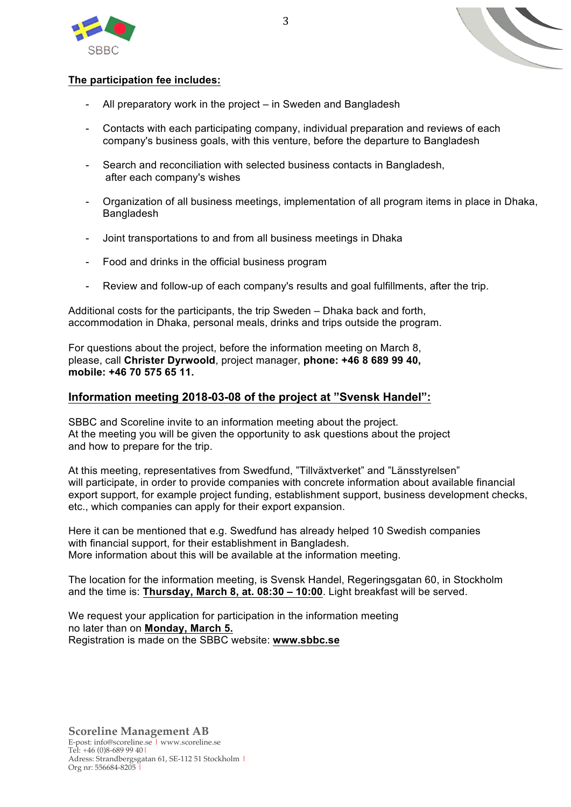



### **The participation fee includes:**

- All preparatory work in the project in Sweden and Bangladesh
- Contacts with each participating company, individual preparation and reviews of each company's business goals, with this venture, before the departure to Bangladesh
- Search and reconciliation with selected business contacts in Bangladesh, after each company's wishes
- Organization of all business meetings, implementation of all program items in place in Dhaka, Bangladesh
- Joint transportations to and from all business meetings in Dhaka
- Food and drinks in the official business program
- Review and follow-up of each company's results and goal fulfillments, after the trip.

Additional costs for the participants, the trip Sweden – Dhaka back and forth, accommodation in Dhaka, personal meals, drinks and trips outside the program.

For questions about the project, before the information meeting on March 8, please, call **Christer Dyrwoold**, project manager, **phone: +46 8 689 99 40, mobile: +46 70 575 65 11.**

### **Information meeting 2018-03-08 of the project at "Svensk Handel":**

SBBC and Scoreline invite to an information meeting about the project. At the meeting you will be given the opportunity to ask questions about the project and how to prepare for the trip.

At this meeting, representatives from Swedfund, "Tillväxtverket" and "Länsstyrelsen" will participate, in order to provide companies with concrete information about available financial export support, for example project funding, establishment support, business development checks, etc., which companies can apply for their export expansion.

Here it can be mentioned that e.g. Swedfund has already helped 10 Swedish companies with financial support, for their establishment in Bangladesh. More information about this will be available at the information meeting.

The location for the information meeting, is Svensk Handel, Regeringsgatan 60, in Stockholm and the time is: **Thursday, March 8, at. 08:30 – 10:00**. Light breakfast will be served.

We request your application for participation in the information meeting no later than on **Monday, March 5.** Registration is made on the SBBC website: **www.sbbc.se**